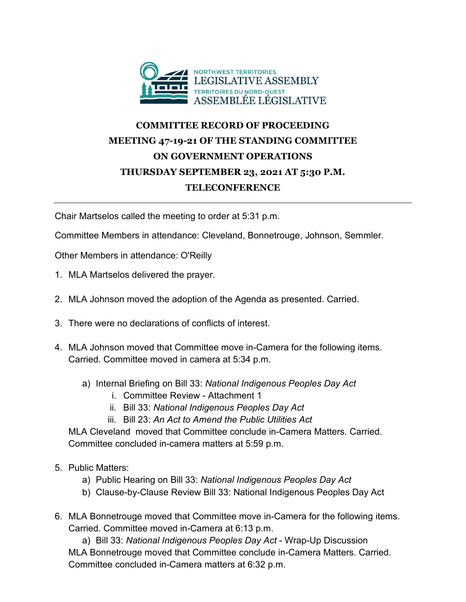

## **COMMITTEE RECORD OF PROCEEDING MEETING 47-19-21 OF THE STANDING COMMITTEE ON GOVERNMENT OPERATIONS THURSDAY SEPTEMBER 23, 2021 AT 5:30 P.M. TELECONFERENCE**

Chair Martselos called the meeting to order at 5:31 p.m.

Committee Members in attendance: Cleveland, Bonnetrouge, Johnson, Semmler.

Other Members in attendance: O'Reilly

- 1. MLA Martselos delivered the prayer.
- 2. MLA Johnson moved the adoption of the Agenda as presented. Carried.
- 3. There were no declarations of conflicts of interest.
- 4. MLA Johnson moved that Committee move in-Camera for the following items. Carried. Committee moved in camera at 5:34 p.m.
	- a) Internal Briefing on Bill 33: *National Indigenous Peoples Day Act*
		- i. Committee Review Attachment 1
		- ii. Bill 33: *National Indigenous Peoples Day Act*
		- iii. Bill 23: *An Act to Amend the Public Utilities Act*

MLA Cleveland moved that Committee conclude in-Camera Matters. Carried. Committee concluded in-camera matters at 5:59 p.m.

- 5. Public Matters:
	- a) Public Hearing on Bill 33: *National Indigenous Peoples Day Act*
	- b) Clause-by-Clause Review Bill 33: National Indigenous Peoples Day Act
- 6. MLA Bonnetrouge moved that Committee move in-Camera for the following items. Carried. Committee moved in-Camera at 6:13 p.m.

a) Bill 33: *National Indigenous Peoples Day Act* - Wrap-Up Discussion MLA Bonnetrouge moved that Committee conclude in-Camera Matters. Carried. Committee concluded in-Camera matters at 6:32 p.m.